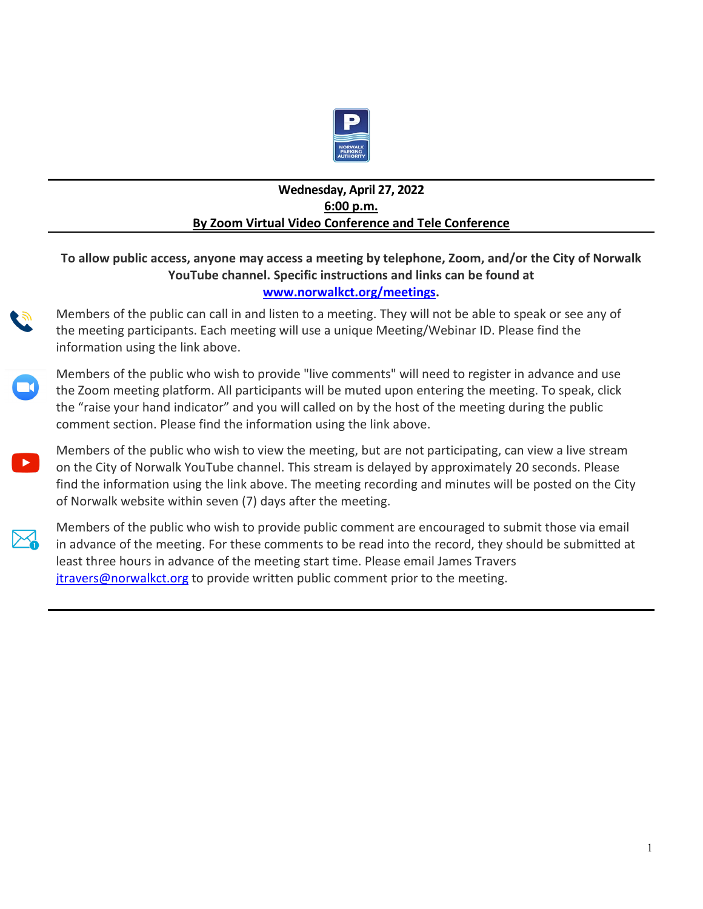

#### **Wednesday, April 27, 2022 6:00 p.m. By Zoom Virtual Video Conference and Tele Conference**

#### **To allow public access, anyone may access a meeting by telephone, Zoom, and/or the City of Norwalk YouTube channel. Specific instructions and links can be found at www.norwalkct.org/meetings.**

Members of the public can call in and listen to a meeting. They will not be able to speak or see any of the meeting participants. Each meeting will use a unique Meeting/Webinar ID. Please find the information using the link above.



Members of the public who wish to provide "live comments" will need to register in advance and use the Zoom meeting platform. All participants will be muted upon entering the meeting. To speak, click the "raise your hand indicator" and you will called on by the host of the meeting during the public comment section. Please find the information using the link above.

Members of the public who wish to view the meeting, but are not participating, can view a live stream on the City of Norwalk YouTube channel. This stream is delayed by approximately 20 seconds. Please find the information using the link above. The meeting recording and minutes will be posted on the City of Norwalk website within seven (7) days after the meeting.



Members of the public who wish to provide public comment are encouraged to submit those via email in advance of the meeting. For these comments to be read into the record, they should be submitted at least three hours in advance of the meeting start time. Please email James Travers [jtravers@norwalkct.org](mailto:jtravers@norwalkct.org) to provide written public comment prior to the meeting.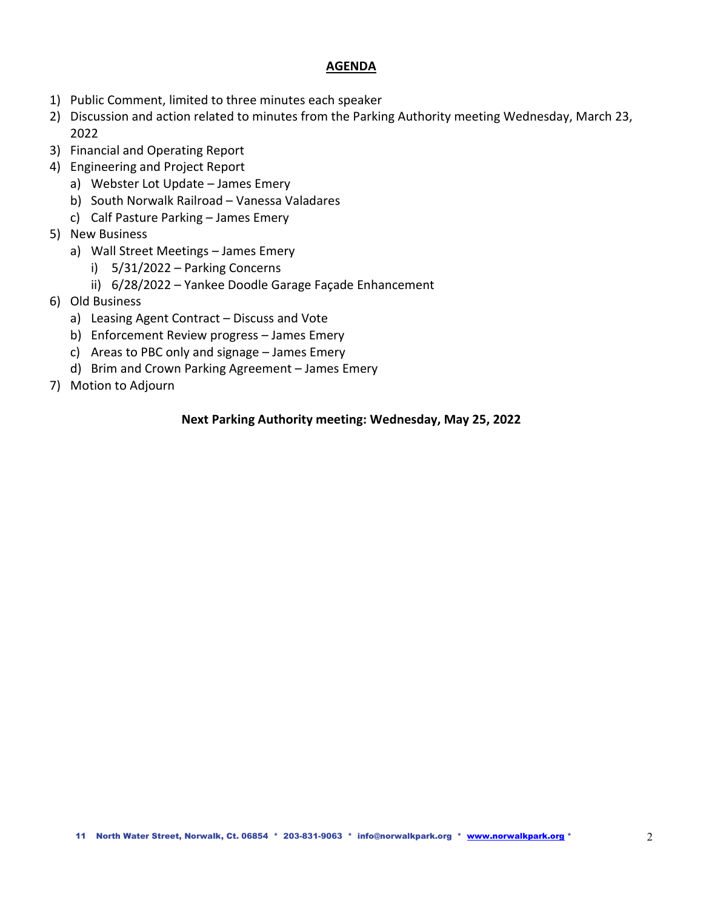#### **AGENDA**

- 1) Public Comment, limited to three minutes each speaker
- 2) Discussion and action related to minutes from the Parking Authority meeting Wednesday, March 23, 2022
- 3) Financial and Operating Report
- 4) Engineering and Project Report
	- a) Webster Lot Update James Emery
	- b) South Norwalk Railroad Vanessa Valadares
	- c) Calf Pasture Parking James Emery
- 5) New Business
	- a) Wall Street Meetings James Emery
		- i) 5/31/2022 Parking Concerns
		- ii) 6/28/2022 Yankee Doodle Garage Façade Enhancement
- 6) Old Business
	- a) Leasing Agent Contract Discuss and Vote
	- b) Enforcement Review progress James Emery
	- c) Areas to PBC only and signage James Emery
	- d) Brim and Crown Parking Agreement James Emery
- 7) Motion to Adjourn

#### **Next Parking Authority meeting: Wednesday, May 25, 2022**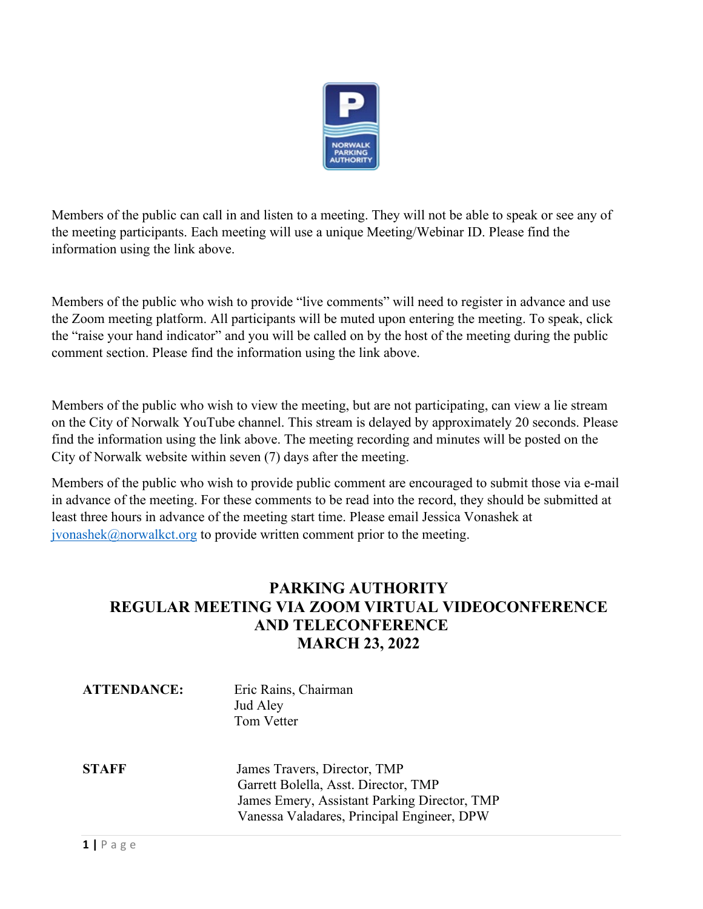

Members of the public can call in and listen to a meeting. They will not be able to speak or see any of the meeting participants. Each meeting will use a unique Meeting/Webinar ID. Please find the information using the link above.

Members of the public who wish to provide "live comments" will need to register in advance and use the Zoom meeting platform. All participants will be muted upon entering the meeting. To speak, click the "raise your hand indicator" and you will be called on by the host of the meeting during the public comment section. Please find the information using the link above.

Members of the public who wish to view the meeting, but are not participating, can view a lie stream on the City of Norwalk YouTube channel. This stream is delayed by approximately 20 seconds. Please find the information using the link above. The meeting recording and minutes will be posted on the City of Norwalk website within seven (7) days after the meeting.

Members of the public who wish to provide public comment are encouraged to submit those via e-mail in advance of the meeting. For these comments to be read into the record, they should be submitted at least three hours in advance of the meeting start time. Please email Jessica Vonashek at  $jvonashek@normalkct.org$  to provide written comment prior to the meeting.

#### **PARKING AUTHORITY REGULAR MEETING VIA ZOOM VIRTUAL VIDEOCONFERENCE AND TELECONFERENCE MARCH 23, 2022**

| <b>ATTENDANCE:</b> | Eric Rains, Chairman<br>Jud Aley<br>Tom Vetter                                                                                                                     |
|--------------------|--------------------------------------------------------------------------------------------------------------------------------------------------------------------|
| <b>STAFF</b>       | James Travers, Director, TMP<br>Garrett Bolella, Asst. Director, TMP<br>James Emery, Assistant Parking Director, TMP<br>Vanessa Valadares, Principal Engineer, DPW |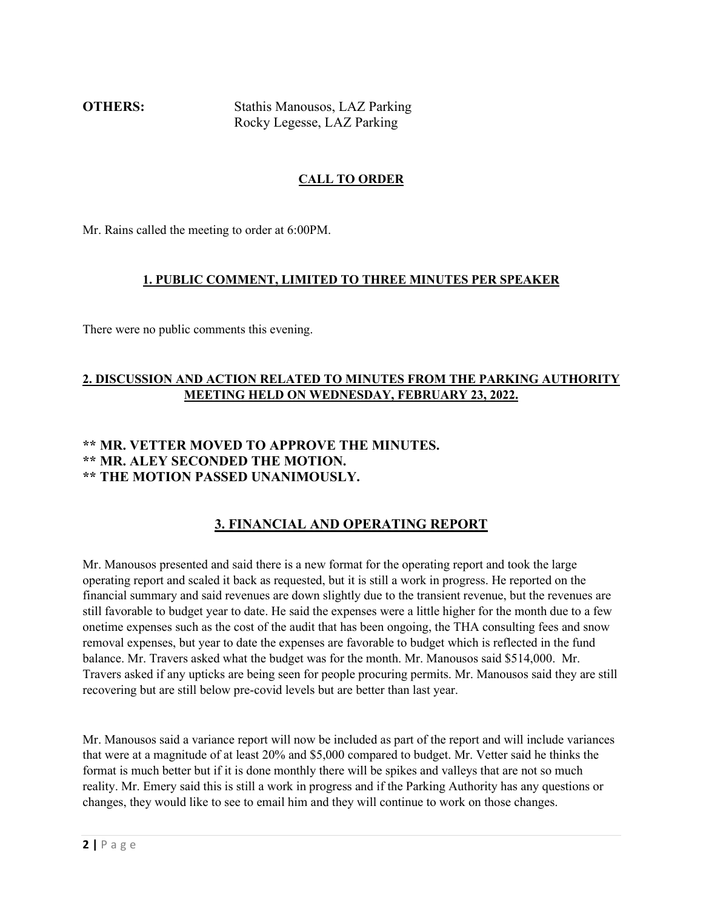**OTHERS:** Stathis Manousos, LAZ Parking Rocky Legesse, LAZ Parking

#### **CALL TO ORDER**

Mr. Rains called the meeting to order at 6:00PM.

#### **1. PUBLIC COMMENT, LIMITED TO THREE MINUTES PER SPEAKER**

There were no public comments this evening.

#### **2. DISCUSSION AND ACTION RELATED TO MINUTES FROM THE PARKING AUTHORITY MEETING HELD ON WEDNESDAY, FEBRUARY 23, 2022.**

#### **\*\* MR. VETTER MOVED TO APPROVE THE MINUTES. \*\* MR. ALEY SECONDED THE MOTION. \*\* THE MOTION PASSED UNANIMOUSLY.**

#### **3. FINANCIAL AND OPERATING REPORT**

Mr. Manousos presented and said there is a new format for the operating report and took the large operating report and scaled it back as requested, but it is still a work in progress. He reported on the financial summary and said revenues are down slightly due to the transient revenue, but the revenues are still favorable to budget year to date. He said the expenses were a little higher for the month due to a few onetime expenses such as the cost of the audit that has been ongoing, the THA consulting fees and snow removal expenses, but year to date the expenses are favorable to budget which is reflected in the fund balance. Mr. Travers asked what the budget was for the month. Mr. Manousos said \$514,000. Mr. Travers asked if any upticks are being seen for people procuring permits. Mr. Manousos said they are still recovering but are still below pre-covid levels but are better than last year.

Mr. Manousos said a variance report will now be included as part of the report and will include variances that were at a magnitude of at least 20% and \$5,000 compared to budget. Mr. Vetter said he thinks the format is much better but if it is done monthly there will be spikes and valleys that are not so much reality. Mr. Emery said this is still a work in progress and if the Parking Authority has any questions or changes, they would like to see to email him and they will continue to work on those changes.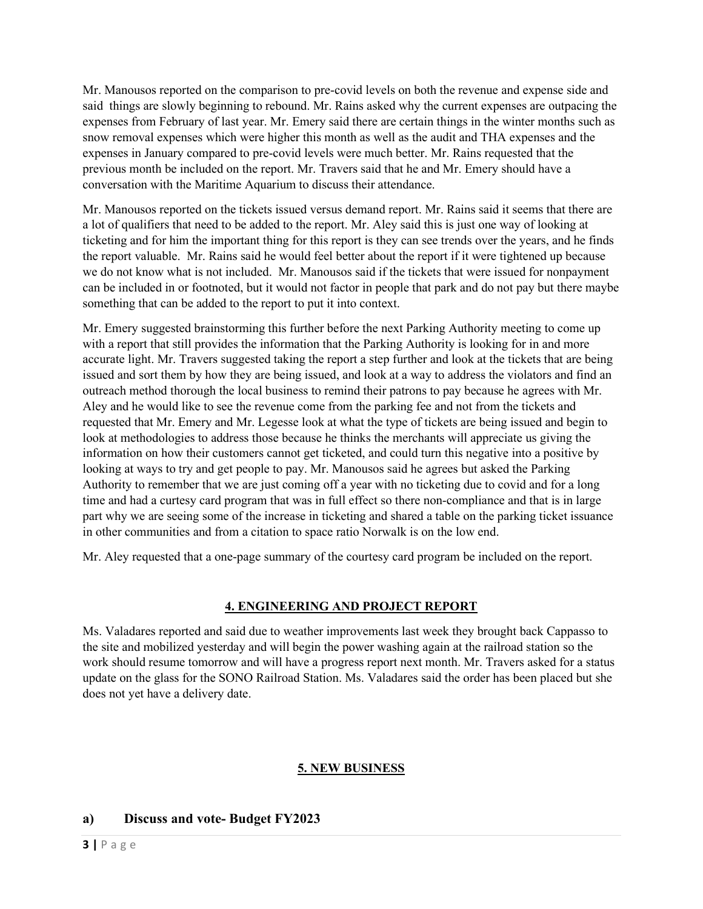Mr. Manousos reported on the comparison to pre-covid levels on both the revenue and expense side and said things are slowly beginning to rebound. Mr. Rains asked why the current expenses are outpacing the expenses from February of last year. Mr. Emery said there are certain things in the winter months such as snow removal expenses which were higher this month as well as the audit and THA expenses and the expenses in January compared to pre-covid levels were much better. Mr. Rains requested that the previous month be included on the report. Mr. Travers said that he and Mr. Emery should have a conversation with the Maritime Aquarium to discuss their attendance.

Mr. Manousos reported on the tickets issued versus demand report. Mr. Rains said it seems that there are a lot of qualifiers that need to be added to the report. Mr. Aley said this is just one way of looking at ticketing and for him the important thing for this report is they can see trends over the years, and he finds the report valuable. Mr. Rains said he would feel better about the report if it were tightened up because we do not know what is not included. Mr. Manousos said if the tickets that were issued for nonpayment can be included in or footnoted, but it would not factor in people that park and do not pay but there maybe something that can be added to the report to put it into context.

Mr. Emery suggested brainstorming this further before the next Parking Authority meeting to come up with a report that still provides the information that the Parking Authority is looking for in and more accurate light. Mr. Travers suggested taking the report a step further and look at the tickets that are being issued and sort them by how they are being issued, and look at a way to address the violators and find an outreach method thorough the local business to remind their patrons to pay because he agrees with Mr. Aley and he would like to see the revenue come from the parking fee and not from the tickets and requested that Mr. Emery and Mr. Legesse look at what the type of tickets are being issued and begin to look at methodologies to address those because he thinks the merchants will appreciate us giving the information on how their customers cannot get ticketed, and could turn this negative into a positive by looking at ways to try and get people to pay. Mr. Manousos said he agrees but asked the Parking Authority to remember that we are just coming off a year with no ticketing due to covid and for a long time and had a curtesy card program that was in full effect so there non-compliance and that is in large part why we are seeing some of the increase in ticketing and shared a table on the parking ticket issuance in other communities and from a citation to space ratio Norwalk is on the low end.

Mr. Aley requested that a one-page summary of the courtesy card program be included on the report.

#### **4. ENGINEERING AND PROJECT REPORT**

Ms. Valadares reported and said due to weather improvements last week they brought back Cappasso to the site and mobilized yesterday and will begin the power washing again at the railroad station so the work should resume tomorrow and will have a progress report next month. Mr. Travers asked for a status update on the glass for the SONO Railroad Station. Ms. Valadares said the order has been placed but she does not yet have a delivery date.

#### **5. NEW BUSINESS**

#### **a) Discuss and vote- Budget FY2023**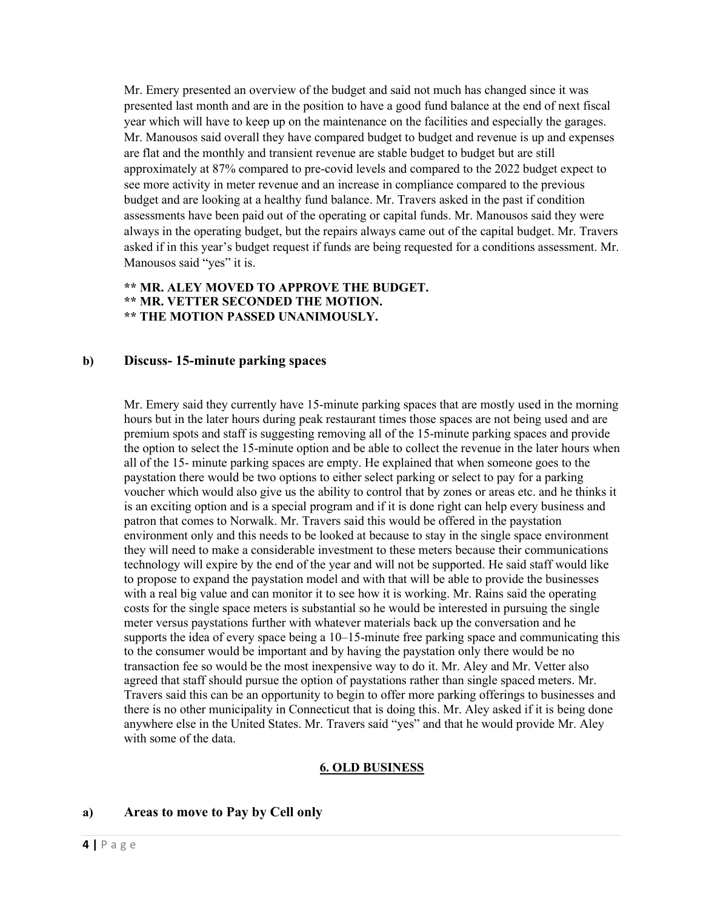Mr. Emery presented an overview of the budget and said not much has changed since it was presented last month and are in the position to have a good fund balance at the end of next fiscal year which will have to keep up on the maintenance on the facilities and especially the garages. Mr. Manousos said overall they have compared budget to budget and revenue is up and expenses are flat and the monthly and transient revenue are stable budget to budget but are still approximately at 87% compared to pre-covid levels and compared to the 2022 budget expect to see more activity in meter revenue and an increase in compliance compared to the previous budget and are looking at a healthy fund balance. Mr. Travers asked in the past if condition assessments have been paid out of the operating or capital funds. Mr. Manousos said they were always in the operating budget, but the repairs always came out of the capital budget. Mr. Travers asked if in this year's budget request if funds are being requested for a conditions assessment. Mr. Manousos said "yes" it is.

#### **\*\* MR. ALEY MOVED TO APPROVE THE BUDGET. \*\* MR. VETTER SECONDED THE MOTION. \*\* THE MOTION PASSED UNANIMOUSLY.**

#### **b) Discuss- 15-minute parking spaces**

Mr. Emery said they currently have 15-minute parking spaces that are mostly used in the morning hours but in the later hours during peak restaurant times those spaces are not being used and are premium spots and staff is suggesting removing all of the 15-minute parking spaces and provide the option to select the 15-minute option and be able to collect the revenue in the later hours when all of the 15- minute parking spaces are empty. He explained that when someone goes to the paystation there would be two options to either select parking or select to pay for a parking voucher which would also give us the ability to control that by zones or areas etc. and he thinks it is an exciting option and is a special program and if it is done right can help every business and patron that comes to Norwalk. Mr. Travers said this would be offered in the paystation environment only and this needs to be looked at because to stay in the single space environment they will need to make a considerable investment to these meters because their communications technology will expire by the end of the year and will not be supported. He said staff would like to propose to expand the paystation model and with that will be able to provide the businesses with a real big value and can monitor it to see how it is working. Mr. Rains said the operating costs for the single space meters is substantial so he would be interested in pursuing the single meter versus paystations further with whatever materials back up the conversation and he supports the idea of every space being a 10–15-minute free parking space and communicating this to the consumer would be important and by having the paystation only there would be no transaction fee so would be the most inexpensive way to do it. Mr. Aley and Mr. Vetter also agreed that staff should pursue the option of paystations rather than single spaced meters. Mr. Travers said this can be an opportunity to begin to offer more parking offerings to businesses and there is no other municipality in Connecticut that is doing this. Mr. Aley asked if it is being done anywhere else in the United States. Mr. Travers said "yes" and that he would provide Mr. Aley with some of the data.

#### **6. OLD BUSINESS**

#### **a) Areas to move to Pay by Cell only**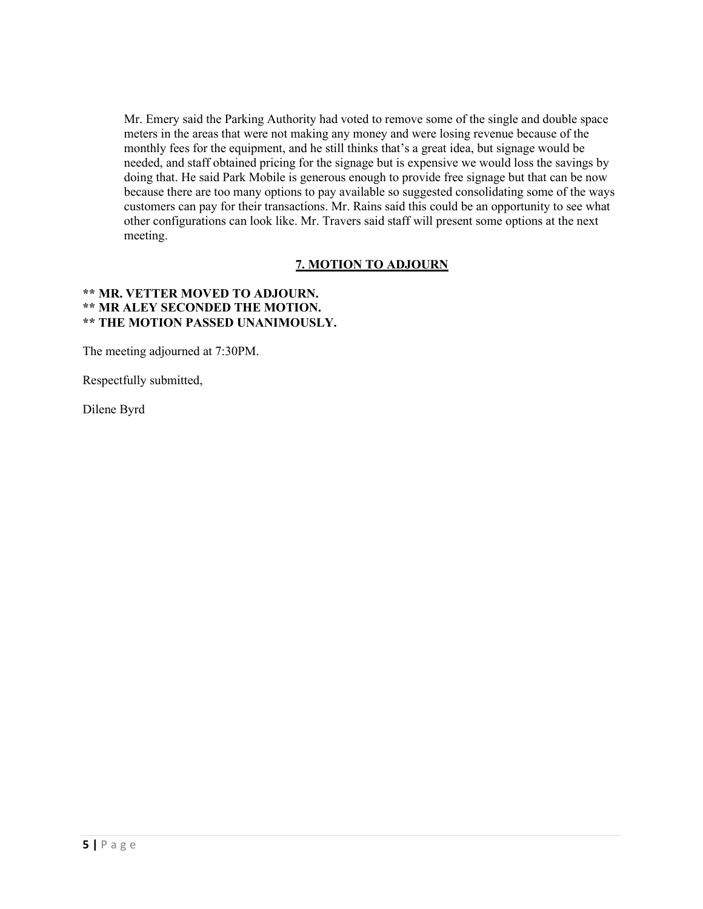Mr. Emery said the Parking Authority had voted to remove some of the single and double space meters in the areas that were not making any money and were losing revenue because of the monthly fees for the equipment, and he still thinks that's a great idea, but signage would be needed, and staff obtained pricing for the signage but is expensive we would loss the savings by doing that. He said Park Mobile is generous enough to provide free signage but that can be now because there are too many options to pay available so suggested consolidating some of the ways customers can pay for their transactions. Mr. Rains said this could be an opportunity to see what other configurations can look like. Mr. Travers said staff will present some options at the next meeting.

#### **7. MOTION TO ADJOURN**

#### **\*\* MR. VETTER MOVED TO ADJOURN. \*\* MR ALEY SECONDED THE MOTION. \*\* THE MOTION PASSED UNANIMOUSLY.**

The meeting adjourned at 7:30PM.

Respectfully submitted,

Dilene Byrd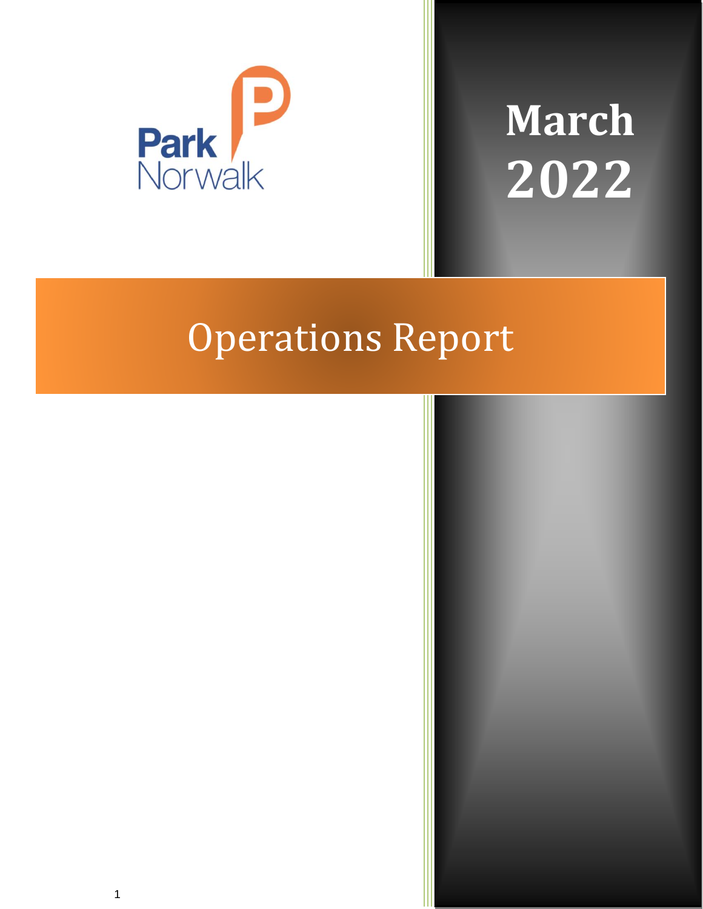

# **March 2022**

## Operations Report

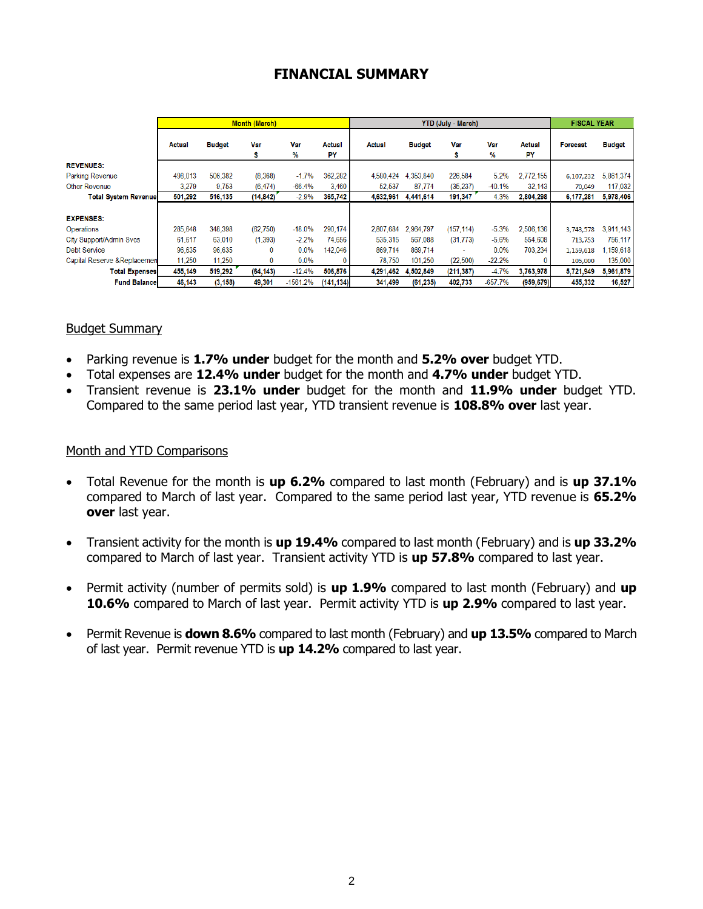#### **FINANCIAL SUMMARY**

|                              |         |               | <b>Month (March)</b> |            |              |           |               | <b>FISCAL YEAR</b> |           |              |                 |               |
|------------------------------|---------|---------------|----------------------|------------|--------------|-----------|---------------|--------------------|-----------|--------------|-----------------|---------------|
|                              | Actual  | <b>Budget</b> | Var                  | Var<br>%   | Actual<br>PY | Actual    | <b>Budget</b> | Var                | Var<br>%  | Actual<br>PY | <b>Forecast</b> | <b>Budget</b> |
| <b>REVENUES:</b>             |         |               |                      |            |              |           |               |                    |           |              |                 |               |
| <b>Parking Revenue</b>       | 498,013 | 506,382       | (8, 368)             | $-1.7%$    | 362.282      | 4,580,424 | 4,353,840     | 226,584            | 5.2%      | 2.772.155    | 6,107,232       | 5,861,374     |
| <b>Other Revenue</b>         | 3.279   | 9.753         | (6, 474)             | $-66.4%$   | 3.460        | 52,537    | 87.774        | (35, 237)          | $-40.1%$  | 32,143       | 70,049          | 117,032       |
| <b>Total System Revenue</b>  | 501.292 | 516,135       | (14, 842)            | $-2.9%$    | 365,742      | 4,632,961 | 4,441,614     | 191,347            | 4.3%      | 2.804.298    | 6,177,281       | 5,978,406     |
|                              |         |               |                      |            |              |           |               |                    |           |              |                 |               |
| <b>EXPENSES:</b>             |         |               |                      |            |              |           |               |                    |           |              |                 |               |
| Operations                   | 285.648 | 348,398       | (62, 750)            | $-18.0%$   | 290.174      | 2.807.684 | 2.964.797     | (157, 114)         | $-5.3%$   | 2.506.136    | 3,743,578       | 3.911.143     |
| City Support/Admin Svcs      | 61,617  | 63.010        | (1, 393)             | $-2.2%$    | 74.656       | 535.315   | 567.088       | (31, 773)          | $-5.6%$   | 554,608      | 713,753         | 756,117       |
| <b>Debt Service</b>          | 96,635  | 96,635        | 0                    | 0.0%       | 142,046      | 869,714   | 869,714       | ٠                  | 0.0%      | 703.234      | 1,159,618       | 1.159.618     |
| Capital Reserve & Replacemen | 11,250  | 11,250        | 0                    | 0.0%       | 0            | 78,750    | 101,250       | (22, 500)          | $-22.2%$  |              | 105,000         | 135,000       |
| <b>Total Expenses</b>        | 455.149 | 519.292       | (64, 143)            | $-12.4%$   | 506,876      | 4,291,462 | 4,502,849     | (211, 387)         | $-4.7%$   | 3,763,978    | 5,721,949       | 5,961,879     |
| <b>Fund Balance</b>          | 46,143  | (3, 158)      | 49,301               | $-1561.2%$ | (141.134)    | 341,499   | (61, 235)     | 402,733            | $-657.7%$ | (959, 679)   | 455,332         | 16,527        |

#### Budget Summary

- Parking revenue is **1.7% under** budget for the month and **5.2% over** budget YTD.
- Total expenses are **12.4% under** budget for the month and **4.7% under** budget YTD.
- Transient revenue is **23.1% under** budget for the month and **11.9% under** budget YTD. Compared to the same period last year, YTD transient revenue is **108.8% over** last year.

#### Month and YTD Comparisons

- Total Revenue for the month is **up 6.2%** compared to last month (February) and is **up 37.1%** compared to March of last year. Compared to the same period last year, YTD revenue is **65.2% over** last year.
- Transient activity for the month is **up 19.4%** compared to last month (February) and is **up 33.2%** compared to March of last year. Transient activity YTD is **up 57.8%** compared to last year.
- Permit activity (number of permits sold) is **up 1.9%** compared to last month (February) and **up 10.6%** compared to March of last year. Permit activity YTD is **up 2.9%** compared to last year.
- Permit Revenue is **down 8.6%** compared to last month (February) and **up 13.5%** compared to March of last year. Permit revenue YTD is **up 14.2%** compared to last year.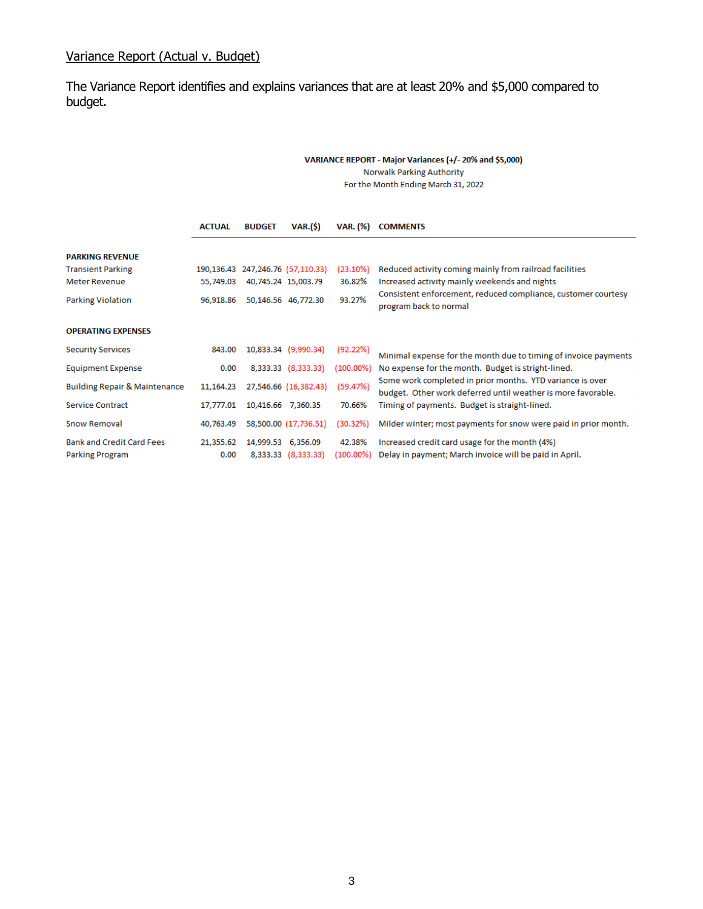#### Variance Report (Actual v. Budget)

The Variance Report identifies and explains variances that are at least 20% and \$5,000 compared to budget.

#### VARIANCE REPORT - Major Variances (+/- 20% and \$5,000) **Norwalk Parking Authority**

For the Month Ending March 31, 2022

|                                                     | <b>ACTUAL</b>     | <b>BUDGET</b>                           | <b>VAR.(\$)</b>       | VAR. (%)               | <b>COMMENTS</b>                                                                                                           |
|-----------------------------------------------------|-------------------|-----------------------------------------|-----------------------|------------------------|---------------------------------------------------------------------------------------------------------------------------|
| <b>PARKING REVENUE</b>                              |                   |                                         |                       |                        |                                                                                                                           |
| <b>Transient Parking</b>                            |                   | 190, 136. 43 247, 246. 76 (57, 110. 33) |                       | (23.10%)               | Reduced activity coming mainly from railroad facilities                                                                   |
| <b>Meter Revenue</b>                                | 55,749.03         | 40,745.24 15,003.79                     |                       | 36.82%                 | Increased activity mainly weekends and nights                                                                             |
| <b>Parking Violation</b>                            | 96,918.86         | 93.27%<br>50,146.56 46,772.30           |                       |                        | Consistent enforcement, reduced compliance, customer courtesy<br>program back to normal                                   |
| <b>OPERATING EXPENSES</b>                           |                   |                                         |                       |                        |                                                                                                                           |
| <b>Security Services</b>                            | 843.00            | 10,833.34 (9,990.34)                    |                       | (92.22%)               | Minimal expense for the month due to timing of invoice payments                                                           |
| <b>Equipment Expense</b>                            | 0.00              |                                         | 8,333.33 (8,333.33)   | $(100.00\%)$           | No expense for the month. Budget is stright-lined.                                                                        |
| <b>Building Repair &amp; Maintenance</b>            | 11,164.23         |                                         | 27,546.66 (16,382.43) | (59.47%)               | Some work completed in prior months. YTD variance is over<br>budget. Other work deferred until weather is more favorable. |
| Service Contract                                    | 17,777.01         | 10,416.66 7,360.35                      |                       | 70.66%                 | Timing of payments. Budget is straight-lined.                                                                             |
| <b>Snow Removal</b>                                 | 40,763.49         |                                         | 58,500.00 (17,736.51) | (30.32%)               | Milder winter; most payments for snow were paid in prior month.                                                           |
| <b>Bank and Credit Card Fees</b><br>Parking Program | 21,355.62<br>0.00 | 14,999.53 6,356.09                      | 8,333.33 (8,333.33)   | 42.38%<br>$(100.00\%)$ | Increased credit card usage for the month (4%)<br>Delay in payment; March invoice will be paid in April.                  |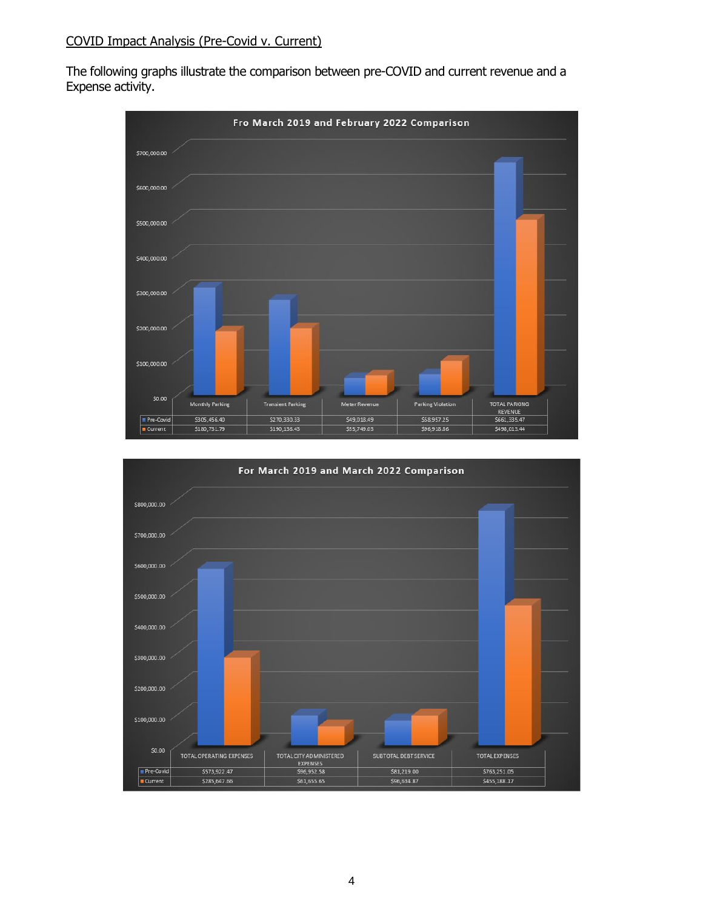The following graphs illustrate the comparison between pre-COVID and current revenue and a Expense activity.



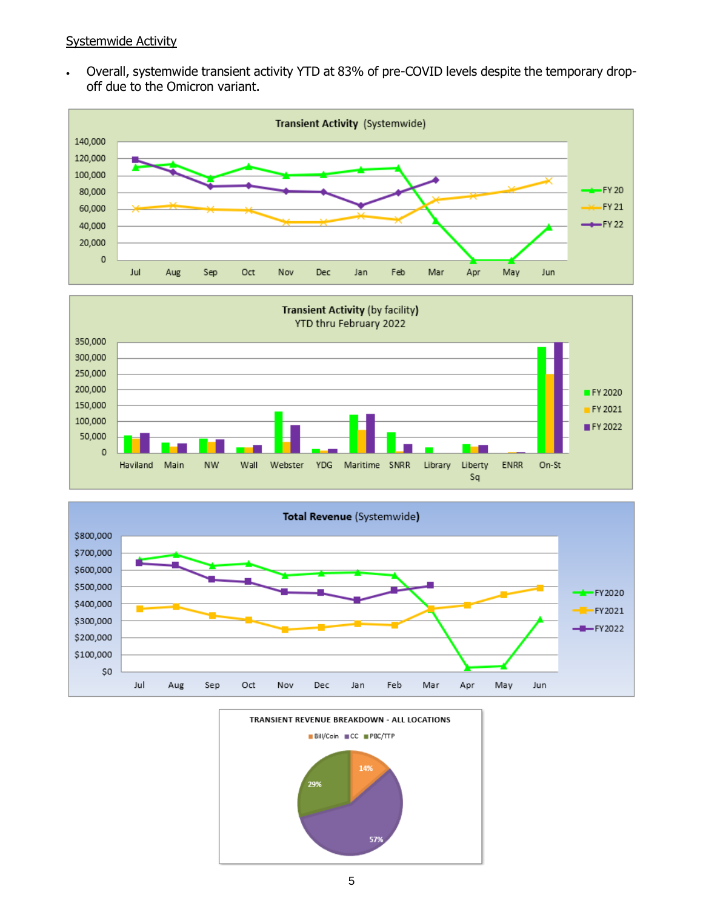#### Systemwide Activity

• Overall, systemwide transient activity YTD at 83% of pre-COVID levels despite the temporary dropoff due to the Omicron variant.







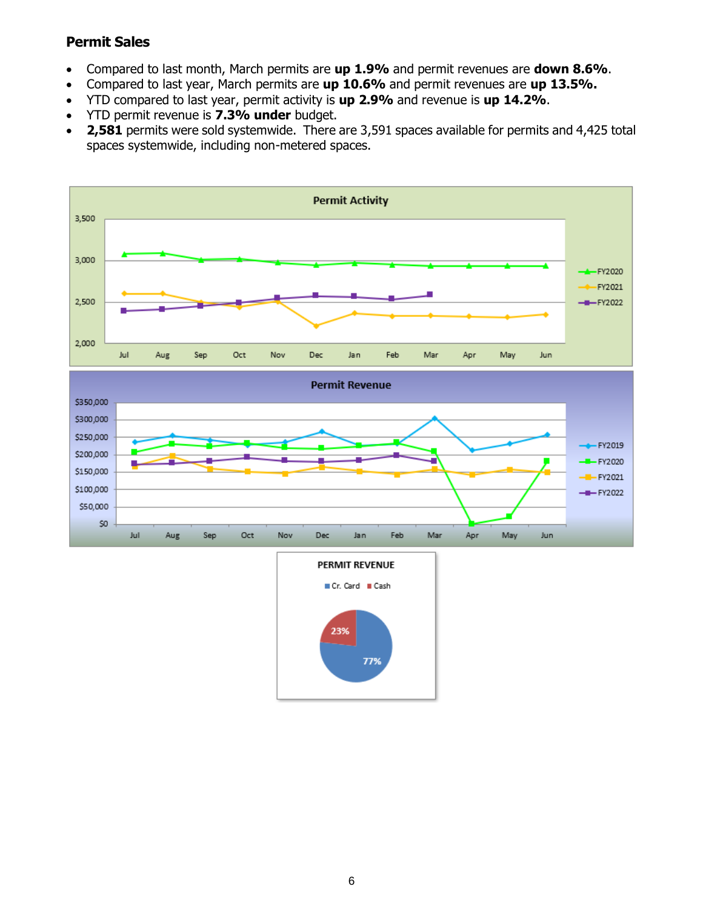#### **Permit Sales**

- Compared to last month, March permits are **up 1.9%** and permit revenues are **down 8.6%**.
- Compared to last year, March permits are **up 10.6%** and permit revenues are **up 13.5%.**
- YTD compared to last year, permit activity is **up 2.9%** and revenue is **up 14.2%**.
- YTD permit revenue is **7.3% under** budget.
- **2,581** permits were sold systemwide. There are 3,591 spaces available for permits and 4,425 total spaces systemwide, including non-metered spaces.



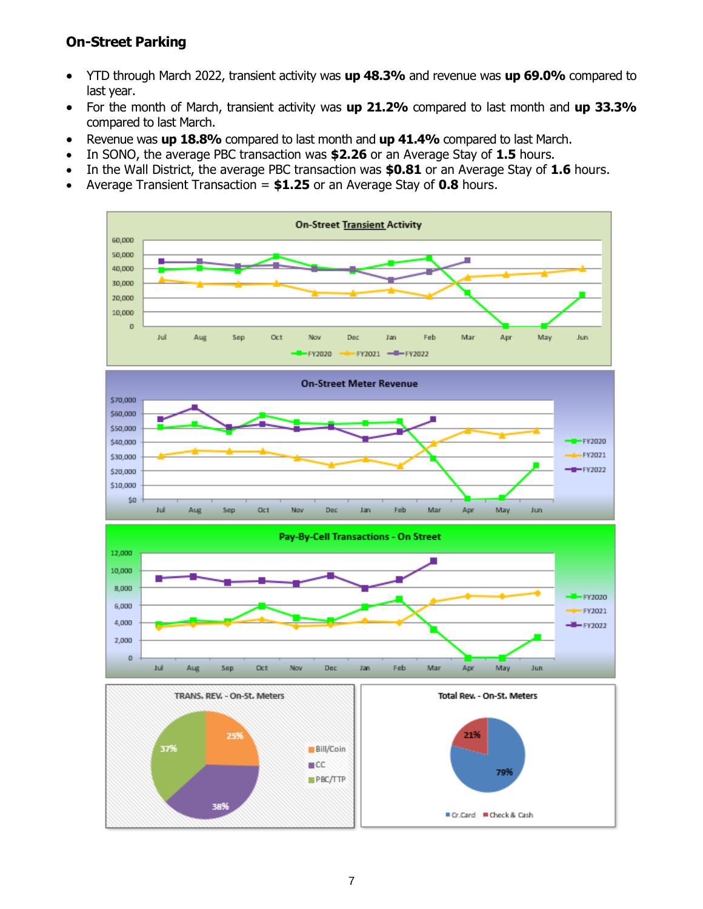#### **On-Street Parking**

- YTD through March 2022, transient activity was **up 48.3%** and revenue was **up 69.0%** compared to last year.
- For the month of March, transient activity was **up 21.2%** compared to last month and **up 33.3%** compared to last March.
- Revenue was **up 18.8%** compared to last month and **up 41.4%** compared to last March.
- In SONO, the average PBC transaction was **\$2.26** or an Average Stay of **1.5** hours.
- In the Wall District, the average PBC transaction was **\$0.81** or an Average Stay of **1.6** hours.
- Average Transient Transaction = **\$1.25** or an Average Stay of **0.8** hours.

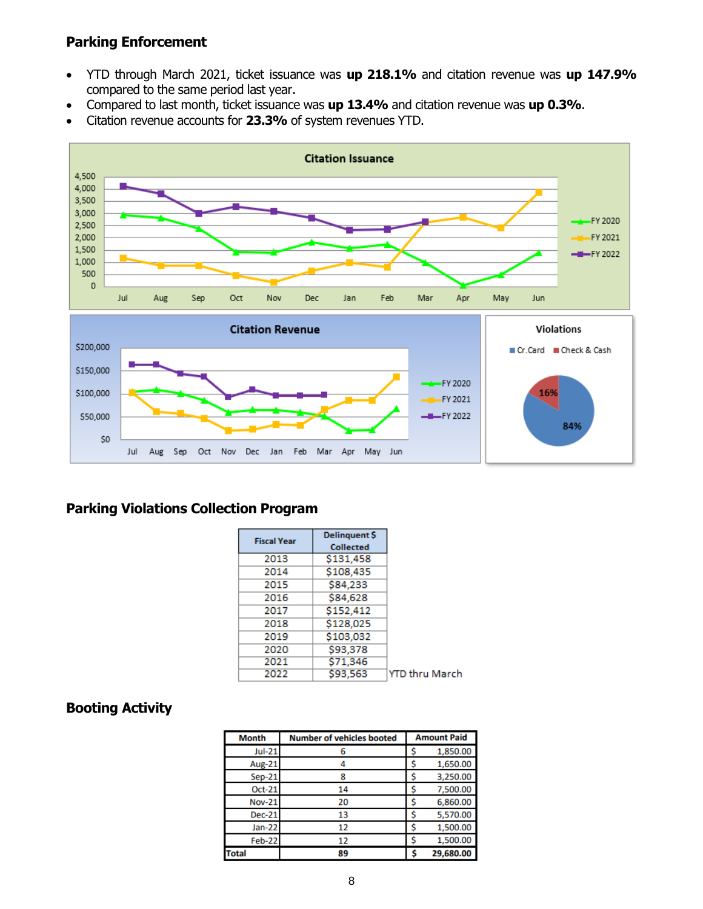#### **Parking Enforcement**

- YTD through March 2021, ticket issuance was **up 218.1%** and citation revenue was **up 147.9%** compared to the same period last year.
- Compared to last month, ticket issuance was **up 13.4%** and citation revenue was **up 0.3%**.
- Citation revenue accounts for **23.3%** of system revenues YTD.



#### **Parking Violations Collection Program**

| <b>Fiscal Year</b> | <b>Delinquent \$</b> |                       |
|--------------------|----------------------|-----------------------|
|                    | <b>Collected</b>     |                       |
| 2013               | \$131,458            |                       |
| 2014               | \$108,435            |                       |
| 2015               | \$84,233             |                       |
| 2016               | \$84,628             |                       |
| 2017               | \$152,412            |                       |
| 2018               | \$128,025            |                       |
| 2019               | \$103,032            |                       |
| 2020               | \$93,378             |                       |
| 2021               | \$71,346             |                       |
| 2022               | \$93.563             | <b>YTD thru March</b> |

#### **Booting Activity**

| <b>Month</b>  | <b>Number of vehicles booted</b> |   | <b>Amount Paid</b> |
|---------------|----------------------------------|---|--------------------|
| <b>Jul-21</b> |                                  |   | 1,850.00           |
| Aug-21        |                                  |   | 1,650.00           |
| $Sep-21$      |                                  |   | 3,250.00           |
| Oct-21        | 14                               |   | 7,500.00           |
| <b>Nov-21</b> | 20                               |   | 6,860.00           |
| <b>Dec-21</b> | 13                               |   | 5,570.00           |
| Jan-22        | 12                               |   | 1,500.00           |
| Feb-22        | 12                               |   | 1,500.00           |
| <b>Total</b>  | 89                               | S | 29,680.00          |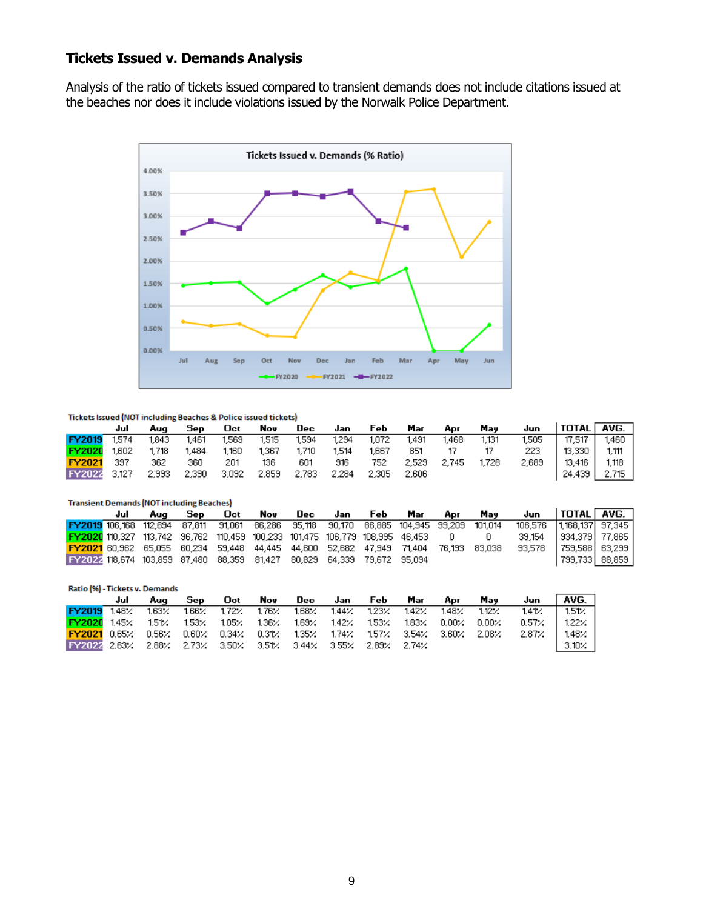#### **Tickets Issued v. Demands Analysis**

Analysis of the ratio of tickets issued compared to transient demands does not include citations issued at the beaches nor does it include violations issued by the Norwalk Police Department.



#### Tickets Issued (NOT including Beaches & Police issued tickets)

|                   | Jul   | Aua   | Sep   | <b>Oct</b> | Nov   | Dec   | Jan   | Feb   | Mar     | Apr         | May   | Jun   | TOTAL   AVG. |       |
|-------------------|-------|-------|-------|------------|-------|-------|-------|-------|---------|-------------|-------|-------|--------------|-------|
| <b>FY2019</b>     | 1.574 | 1.843 | 1.461 | 1,569      | 1.515 | 1,594 | 1,294 | 1,072 | 1.491   | 1,468       | 1.131 | 1,505 | 17.517       | 1,460 |
| <b>FY2020</b>     | 1.602 | 1.718 | 1.484 | 1,160      | 1,367 | 1,710 | 1.514 | 1.667 | 851     |             |       | 223.  | 13.330 1     | 1.111 |
| <b>FY2021</b> 397 |       | 362   | 360   | 201        | 136   | 601   | 916   | 752   |         | 2.529 2.745 | 1.728 | 2,689 | 13.416 I     | 1.118 |
| FY2022 3.127      |       | 2,993 | 2,390 | 3,092      | 2,859 | 2,783 | 2.284 | 2,305 | - 2.606 |             |       |       | 24,439       | 2,715 |

| <b>Transient Demands (NOT including Beaches)</b>                                |     |                                                                                     |     |     |     |  |         |     |     |              |         |        |                        |                |
|---------------------------------------------------------------------------------|-----|-------------------------------------------------------------------------------------|-----|-----|-----|--|---------|-----|-----|--------------|---------|--------|------------------------|----------------|
|                                                                                 | Jul | Aua                                                                                 | Sep | Oct | Nov |  | Dec Jan | Feb | Mar | Apr          | Mav     | Juni   | $ $ Total $ $ avg. $ $ |                |
| FY2019 106,168 112,894 87,811 91,061 86,286 95,118 90,170 86,885 104,945 99,209 |     |                                                                                     |     |     |     |  |         |     |     |              | 101.014 |        |                        |                |
| FY2020 110,327 113,742 96,762 110,459 100,233 101,475 106,779 108,995 46,453    |     |                                                                                     |     |     |     |  |         |     |     | $\mathbf{0}$ |         | 39.154 | 934.379   77.865       |                |
|                                                                                 |     | FY2021 60,962 65,055 60,234 59,448 44,445 44,600 52,682 47,949 71,404 76,193 83,038 |     |     |     |  |         |     |     |              |         | 33.578 | 759,588  63,299        |                |
| 18,674 103,859 87,480 88,359 81,427 80,829 64,339 79,672 95,094                 |     |                                                                                     |     |     |     |  |         |     |     |              |         |        |                        | 799,733 88,859 |

| Ratio (%) - Tickets v. Demands                                                  |     |       |     |                                                          |     |         |                         |         |  |       |              |              |              |
|---------------------------------------------------------------------------------|-----|-------|-----|----------------------------------------------------------|-----|---------|-------------------------|---------|--|-------|--------------|--------------|--------------|
|                                                                                 | Jul | Aua   | Sep | Oct                                                      | Nov | Dec Jan |                         | Feb Mar |  | Apr   | Mav          | Jun          | AVG. I       |
| FY2019 1.48%                                                                    |     | 163%  |     | 1.66% 1.72% 1.76%                                        |     |         | 1.68% 1.44% 1.23% 1.42% |         |  | 1.48% | $1.12\times$ | 1.41%        | 1.51%        |
| <b>FY2020</b> 145%                                                              |     | 1.51% |     | $1.53\%$ 1.05% 1.36% 1.69% 1.42% 1.53% 1.83% 0.00% 0.00% |     |         |                         |         |  |       |              | $0.57\times$ | 1.22% l      |
| <b>FY2021</b> 0.65% 0.56% 0.60% 0.34% 0.31% 1.35% 1.74% 1.57% 3.54% 3.60% 2.08% |     |       |     |                                                          |     |         |                         |         |  |       |              | 2.87%        | $1.48\times$ |
| FY2024 2.63% 2.88% 2.73% 3.50% 3.51% 3.44% 3.55% 2.89% 2.74%                    |     |       |     |                                                          |     |         |                         |         |  |       |              |              | 3.10%        |